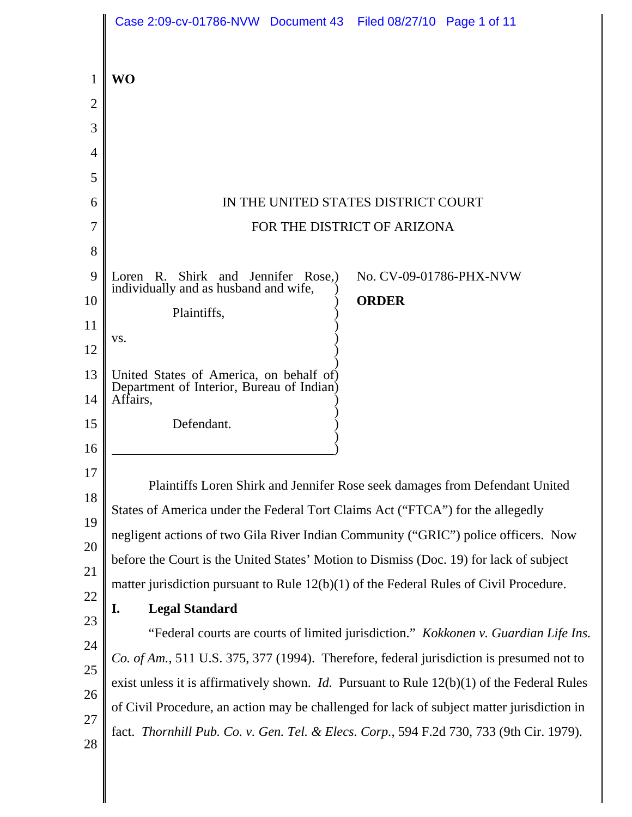|          | Case 2:09-cv-01786-NVW Document 43 Filed 08/27/10 Page 1 of 11                                        |
|----------|-------------------------------------------------------------------------------------------------------|
| 1        | <b>WO</b>                                                                                             |
| 2        |                                                                                                       |
| 3        |                                                                                                       |
| 4        |                                                                                                       |
| 5        |                                                                                                       |
| 6        | IN THE UNITED STATES DISTRICT COURT                                                                   |
| 7        | FOR THE DISTRICT OF ARIZONA                                                                           |
| 8        |                                                                                                       |
| 9        | Loren R. Shirk and Jennifer Rose,<br>No. CV-09-01786-PHX-NVW<br>individually and as husband and wife, |
| 10       | <b>ORDER</b><br>Plaintiffs,                                                                           |
| 11       | VS.                                                                                                   |
| 12       |                                                                                                       |
| 13<br>14 | United States of America, on behalf of)<br>Department of Interior, Bureau of Indian)<br>Affairs,      |
| 15       | Defendant.                                                                                            |
| 16       |                                                                                                       |
| 17       | Plaintiffs Loren Shirk and Jennifer Rose seek damages from Defendant United                           |
| 18       | States of America under the Federal Tort Claims Act ("FTCA") for the allegedly                        |
| 19       | negligent actions of two Gila River Indian Community ("GRIC") police officers. Now                    |
| 20       | before the Court is the United States' Motion to Dismiss (Doc. 19) for lack of subject                |
| 21       | matter jurisdiction pursuant to Rule $12(b)(1)$ of the Federal Rules of Civil Procedure.              |
| 22       | <b>Legal Standard</b><br>I.                                                                           |
| 23<br>24 | "Federal courts are courts of limited jurisdiction." Kokkonen v. Guardian Life Ins.                   |
| 25       | Co. of Am., 511 U.S. 375, 377 (1994). Therefore, federal jurisdiction is presumed not to              |
| 26       | exist unless it is affirmatively shown. <i>Id.</i> Pursuant to Rule $12(b)(1)$ of the Federal Rules   |
| 27       | of Civil Procedure, an action may be challenged for lack of subject matter jurisdiction in            |
| 28       | fact. Thornhill Pub. Co. v. Gen. Tel. & Elecs. Corp., 594 F.2d 730, 733 (9th Cir. 1979).              |
|          |                                                                                                       |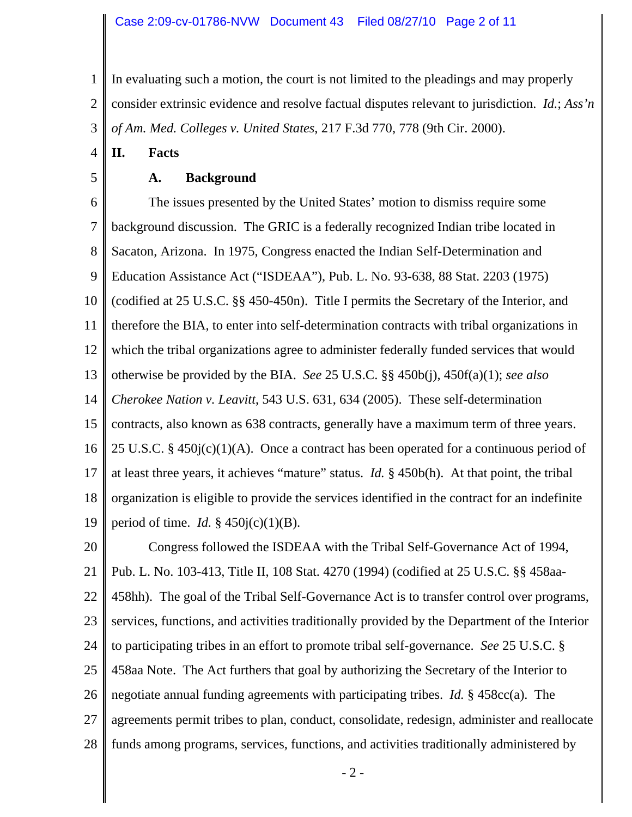1 2 3 In evaluating such a motion, the court is not limited to the pleadings and may properly consider extrinsic evidence and resolve factual disputes relevant to jurisdiction. *Id.*; *Ass'n of Am. Med. Colleges v. United States*, 217 F.3d 770, 778 (9th Cir. 2000).

4 **II. Facts**

5

## **A. Background**

6 7 8 9 10 11 12 13 14 15 16 17 18 19 The issues presented by the United States' motion to dismiss require some background discussion. The GRIC is a federally recognized Indian tribe located in Sacaton, Arizona. In 1975, Congress enacted the Indian Self-Determination and Education Assistance Act ("ISDEAA"), Pub. L. No. 93-638, 88 Stat. 2203 (1975) (codified at 25 U.S.C. §§ 450-450n). Title I permits the Secretary of the Interior, and therefore the BIA, to enter into self-determination contracts with tribal organizations in which the tribal organizations agree to administer federally funded services that would otherwise be provided by the BIA. *See* 25 U.S.C. §§ 450b(j), 450f(a)(1); *see also Cherokee Nation v. Leavitt*, 543 U.S. 631, 634 (2005). These self-determination contracts, also known as 638 contracts, generally have a maximum term of three years. 25 U.S.C. § 450 $j(c)(1)(A)$ . Once a contract has been operated for a continuous period of at least three years, it achieves "mature" status. *Id.* § 450b(h). At that point, the tribal organization is eligible to provide the services identified in the contract for an indefinite period of time. *Id.* § 450j(c)(1)(B).

20 21 22 23 24 25 26 27 28 Congress followed the ISDEAA with the Tribal Self-Governance Act of 1994, Pub. L. No. 103-413, Title II, 108 Stat. 4270 (1994) (codified at 25 U.S.C. §§ 458aa-458hh). The goal of the Tribal Self-Governance Act is to transfer control over programs, services, functions, and activities traditionally provided by the Department of the Interior to participating tribes in an effort to promote tribal self-governance. *See* 25 U.S.C. § 458aa Note. The Act furthers that goal by authorizing the Secretary of the Interior to negotiate annual funding agreements with participating tribes. *Id.* § 458cc(a). The agreements permit tribes to plan, conduct, consolidate, redesign, administer and reallocate funds among programs, services, functions, and activities traditionally administered by

- 2 -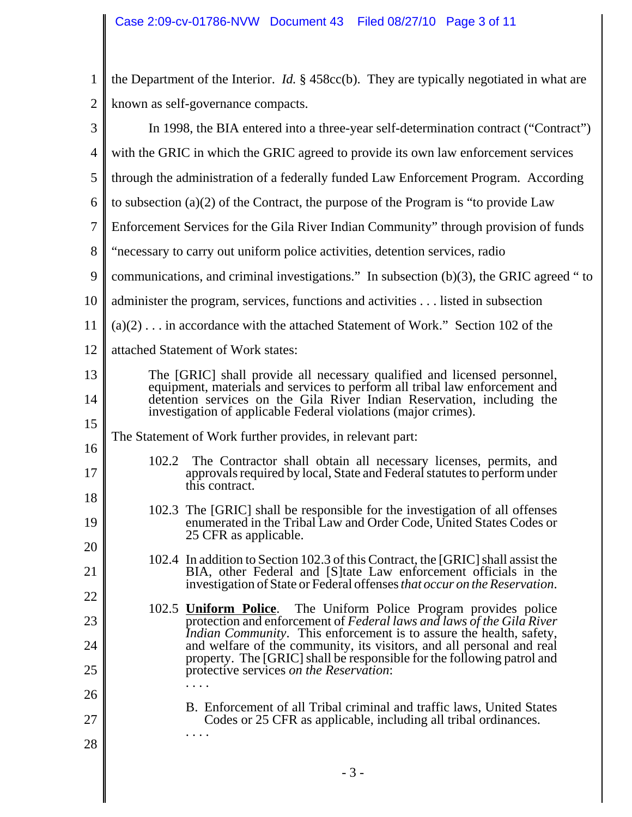| $\mathbf{1}$   | the Department of the Interior. <i>Id.</i> $\S$ 458cc(b). They are typically negotiated in what are                                                  |
|----------------|------------------------------------------------------------------------------------------------------------------------------------------------------|
| $\overline{2}$ | known as self-governance compacts.                                                                                                                   |
| 3              | In 1998, the BIA entered into a three-year self-determination contract ("Contract")                                                                  |
| $\overline{4}$ | with the GRIC in which the GRIC agreed to provide its own law enforcement services                                                                   |
| 5              | through the administration of a federally funded Law Enforcement Program. According                                                                  |
| 6              | to subsection $(a)(2)$ of the Contract, the purpose of the Program is "to provide Law                                                                |
| $\overline{7}$ | Enforcement Services for the Gila River Indian Community" through provision of funds                                                                 |
| 8              | "necessary to carry out uniform police activities, detention services, radio                                                                         |
| 9              | communications, and criminal investigations." In subsection $(b)(3)$ , the GRIC agreed "to                                                           |
| 10             | administer the program, services, functions and activities listed in subsection                                                                      |
| 11             | $(a)(2) \dots$ in accordance with the attached Statement of Work." Section 102 of the                                                                |
| 12             | attached Statement of Work states:                                                                                                                   |
| 13             | The [GRIC] shall provide all necessary qualified and licensed personnel, equipment, materials and services to perform all tribal law enforcement and |
| 14             | detention services on the Gila River Indian Reservation, including the<br>investigation of applicable Federal violations (major crimes).             |
| 15             | The Statement of Work further provides, in relevant part:                                                                                            |
| 16             | 102.2<br>The Contractor shall obtain all necessary licenses, permits, and                                                                            |
| 17             | approvals required by local, State and Federal statutes to perform under<br>this contract.                                                           |
| 18             | 102.3 The [GRIC] shall be responsible for the investigation of all offenses                                                                          |
| 19             | enumerated in the Tribal Law and Order Code, United States Codes or<br>25 CFR as applicable.                                                         |
| 20             | 102.4 In addition to Section 102.3 of this Contract, the [GRIC] shall assist the                                                                     |
| 21             | BIA, other Federal and [S] tate Law enforcement officials in the<br>investigation of State or Federal offenses that occur on the Reservation.        |
| 22             | 102.5 <b>Uniform Police</b> . The Uniform Police Program provides police                                                                             |
| 23             | protection and enforcement of Federal laws and laws of the Gila River<br><i>Indian Community.</i> This enforcement is to assure the health, safety,  |
| 24             | and welfare of the community, its visitors, and all personal and real<br>property. The [GRIC] shall be responsible for the following patrol and      |
| 25<br>26       | protective services on the Reservation:                                                                                                              |
| 27             | B. Enforcement of all Tribal criminal and traffic laws, United States                                                                                |
| 28             | Codes or 25 CFR as applicable, including all tribal ordinances.<br>.                                                                                 |
|                |                                                                                                                                                      |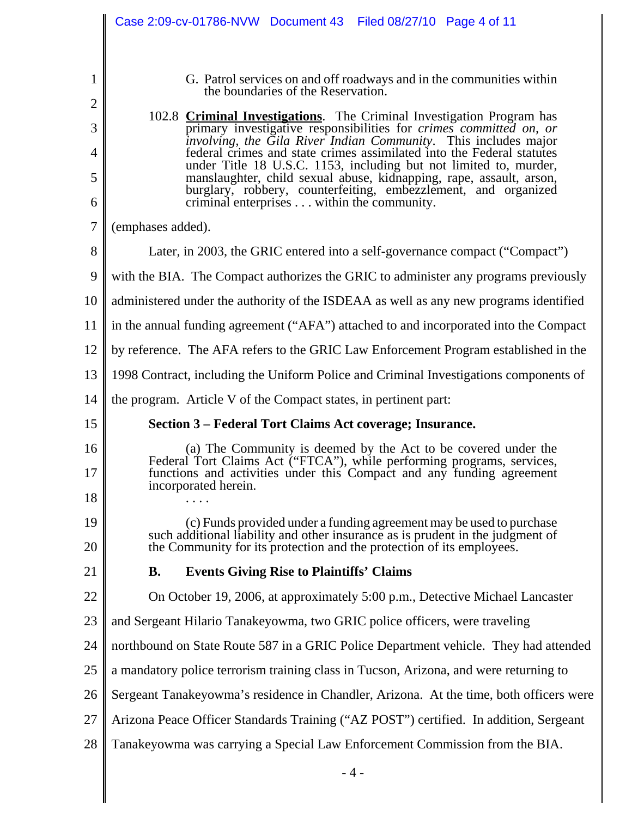|                     | Case 2:09-cv-01786-NVW Document 43 Filed 08/27/10 Page 4 of 11                                                                                                                      |
|---------------------|-------------------------------------------------------------------------------------------------------------------------------------------------------------------------------------|
|                     |                                                                                                                                                                                     |
| $\mathbf{1}$        | G. Patrol services on and off roadways and in the communities within<br>the boundaries of the Reservation.                                                                          |
| $\overline{2}$      | 102.8 Criminal Investigations. The Criminal Investigation Program has                                                                                                               |
| 3                   | primary investigative responsibilities for crimes committed on, or<br>involving, the Gila River Indian Community. This includes major                                               |
| $\overline{4}$<br>5 | federal crimes and state crimes assimilated into the Federal statutes<br>under Title 18 U.S.C. 1153, including but not limited to, murder,                                          |
| 6                   | manslaughter, child sexual abuse, kidnapping, rape, assault, arson,<br>burglary, robbery, counterfeiting, embezzlement, and organized<br>criminal enterprises within the community. |
| $\overline{7}$      | (emphases added).                                                                                                                                                                   |
| 8                   | Later, in 2003, the GRIC entered into a self-governance compact ("Compact")                                                                                                         |
| 9                   | with the BIA. The Compact authorizes the GRIC to administer any programs previously                                                                                                 |
| 10                  | administered under the authority of the ISDEAA as well as any new programs identified                                                                                               |
| 11                  | in the annual funding agreement ("AFA") attached to and incorporated into the Compact                                                                                               |
| 12                  | by reference. The AFA refers to the GRIC Law Enforcement Program established in the                                                                                                 |
| 13                  | 1998 Contract, including the Uniform Police and Criminal Investigations components of                                                                                               |
| 14                  | the program. Article V of the Compact states, in pertinent part:                                                                                                                    |
| 15                  | Section 3 – Federal Tort Claims Act coverage; Insurance.                                                                                                                            |
| 16                  | (a) The Community is deemed by the Act to be covered under the                                                                                                                      |
| 17                  | Federal Tort Claims Act ("FTCA"), while performing programs, services,<br>functions and activities under this Compact and any funding agreement<br>incorporated herein.             |
| 18                  |                                                                                                                                                                                     |
| 19                  | (c) Funds provided under a funding agreement may be used to purchase<br>such additional liability and other insurance as is prudent in the judgment of                              |
| 20                  | the Community for its protection and the protection of its employees.                                                                                                               |
| 21                  | <b>Events Giving Rise to Plaintiffs' Claims</b><br><b>B.</b>                                                                                                                        |
| 22                  | On October 19, 2006, at approximately 5:00 p.m., Detective Michael Lancaster                                                                                                        |
| 23                  | and Sergeant Hilario Tanakeyowma, two GRIC police officers, were traveling                                                                                                          |
| 24                  | northbound on State Route 587 in a GRIC Police Department vehicle. They had attended                                                                                                |
| 25                  | a mandatory police terrorism training class in Tucson, Arizona, and were returning to                                                                                               |
| 26                  | Sergeant Tanakeyowma's residence in Chandler, Arizona. At the time, both officers were                                                                                              |
| 27                  | Arizona Peace Officer Standards Training ("AZ POST") certified. In addition, Sergeant                                                                                               |
| 28                  | Tanakeyowma was carrying a Special Law Enforcement Commission from the BIA.                                                                                                         |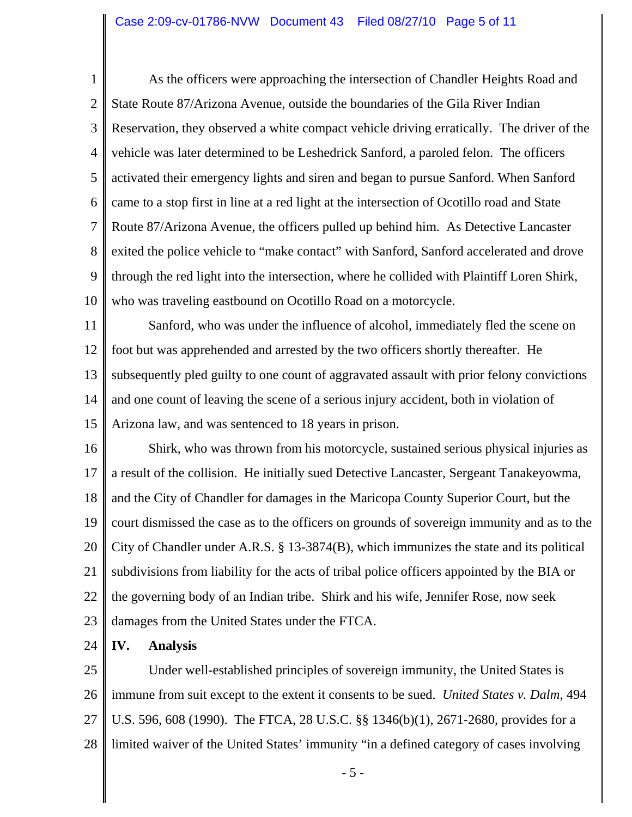1 2 3 4 5 6 7 8 9 10 As the officers were approaching the intersection of Chandler Heights Road and State Route 87/Arizona Avenue, outside the boundaries of the Gila River Indian Reservation, they observed a white compact vehicle driving erratically. The driver of the vehicle was later determined to be Leshedrick Sanford, a paroled felon. The officers activated their emergency lights and siren and began to pursue Sanford. When Sanford came to a stop first in line at a red light at the intersection of Ocotillo road and State Route 87/Arizona Avenue, the officers pulled up behind him. As Detective Lancaster exited the police vehicle to "make contact" with Sanford, Sanford accelerated and drove through the red light into the intersection, where he collided with Plaintiff Loren Shirk, who was traveling eastbound on Ocotillo Road on a motorcycle.

11 12 13 14 15 Sanford, who was under the influence of alcohol, immediately fled the scene on foot but was apprehended and arrested by the two officers shortly thereafter. He subsequently pled guilty to one count of aggravated assault with prior felony convictions and one count of leaving the scene of a serious injury accident, both in violation of Arizona law, and was sentenced to 18 years in prison.

16 17 18 19 20 21 22 23 Shirk, who was thrown from his motorcycle, sustained serious physical injuries as a result of the collision. He initially sued Detective Lancaster, Sergeant Tanakeyowma, and the City of Chandler for damages in the Maricopa County Superior Court, but the court dismissed the case as to the officers on grounds of sovereign immunity and as to the City of Chandler under A.R.S. § 13-3874(B), which immunizes the state and its political subdivisions from liability for the acts of tribal police officers appointed by the BIA or the governing body of an Indian tribe. Shirk and his wife, Jennifer Rose, now seek damages from the United States under the FTCA.

24 **IV. Analysis**

25 26 27 28 Under well-established principles of sovereign immunity, the United States is immune from suit except to the extent it consents to be sued. *United States v. Dalm*, 494 U.S. 596, 608 (1990). The FTCA, 28 U.S.C. §§ 1346(b)(1), 2671-2680, provides for a limited waiver of the United States' immunity "in a defined category of cases involving

- 5 -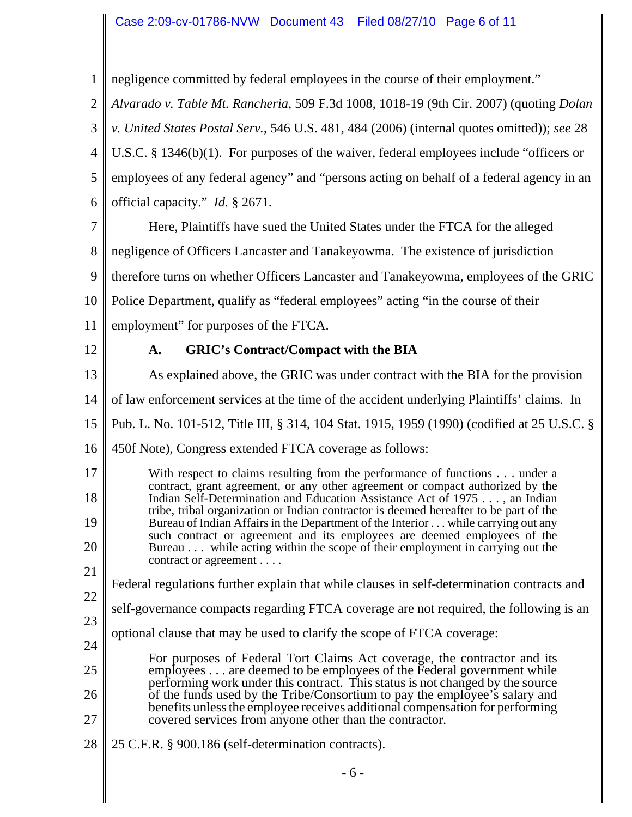## Case 2:09-cv-01786-NVW Document 43 Filed 08/27/10 Page 6 of 11

1 negligence committed by federal employees in the course of their employment."

2 *Alvarado v. Table Mt. Rancheria*, 509 F.3d 1008, 1018-19 (9th Cir. 2007) (quoting *Dolan*

3 *v. United States Postal Serv.*, 546 U.S. 481, 484 (2006) (internal quotes omitted)); *see* 28

4 U.S.C. § 1346(b)(1). For purposes of the waiver, federal employees include "officers or

5 employees of any federal agency" and "persons acting on behalf of a federal agency in an

6 official capacity." *Id.* § 2671.

7 8 Here, Plaintiffs have sued the United States under the FTCA for the alleged negligence of Officers Lancaster and Tanakeyowma. The existence of jurisdiction

9 therefore turns on whether Officers Lancaster and Tanakeyowma, employees of the GRIC

10 Police Department, qualify as "federal employees" acting "in the course of their

11 employment" for purposes of the FTCA.

12

## **A. GRIC's Contract/Compact with the BIA**

13 As explained above, the GRIC was under contract with the BIA for the provision

14 of law enforcement services at the time of the accident underlying Plaintiffs' claims. In

15 Pub. L. No. 101-512, Title III, § 314, 104 Stat. 1915, 1959 (1990) (codified at 25 U.S.C. §

16 450f Note), Congress extended FTCA coverage as follows:

17 18 19 20 21 With respect to claims resulting from the performance of functions . . . under a contract, grant agreement, or any other agreement or compact authorized by the Indian Self-Determination and Education Assistance Act of 1975 . . . , an Indian tribe, tribal organization or Indian contractor is deemed hereafter to be part of the Bureau of Indian Affairs in the Department of the Interior . . . while carrying out any such contract or agreement and its employees are deemed employees of the Bureau . . . while acting within the scope of their employment in carrying out the contract or agreement . . . .

- Federal regulations further explain that while clauses in self-determination contracts and
- 22 self-governance compacts regarding FTCA coverage are not required, the following is an
- 23 optional clause that may be used to clarify the scope of FTCA coverage:
- 24 25 26 27 For purposes of Federal Tort Claims Act coverage, the contractor and its employees . . . are deemed to be employees of the Federal government while performing work under this contract. This status is not changed by the source of the funds used by the Tribe/Consortium to pay the employee's salary and benefits unless the employee receives additional compensation for performing covered services from anyone other than the contractor.
- 28 25 C.F.R. § 900.186 (self-determination contracts).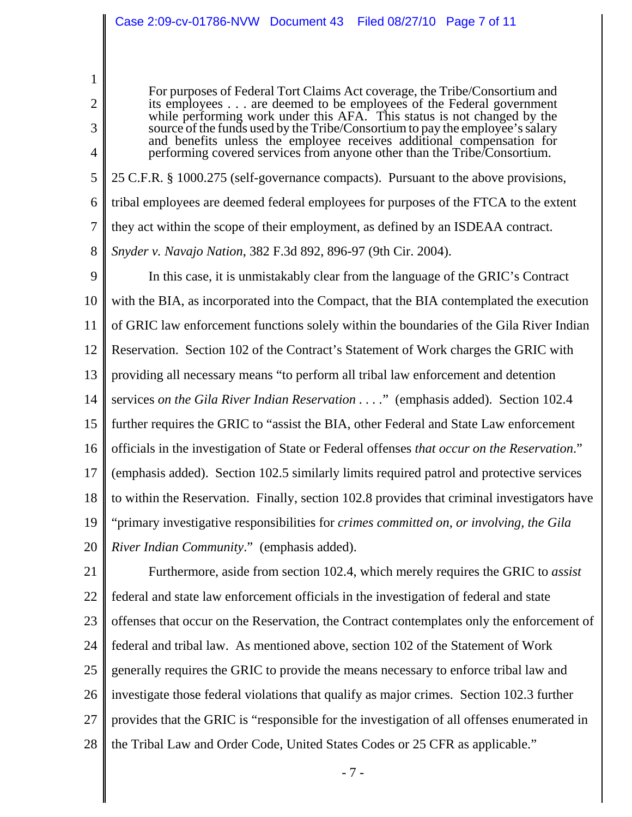1

2

3

4

For purposes of Federal Tort Claims Act coverage, the Tribe/Consortium and its employees . . . are deemed to be employees of the Federal government while performing work under this AFA. This status is not changed by the source of the funds used by the Tribe/Consortium to pay the employee's salary and benefits unless the employee receives additional compensation for performing covered services from anyone other than the Tribe/Consortium.

5 6 7 8 25 C.F.R. § 1000.275 (self-governance compacts). Pursuant to the above provisions, tribal employees are deemed federal employees for purposes of the FTCA to the extent they act within the scope of their employment, as defined by an ISDEAA contract. *Snyder v. Navajo Nation*, 382 F.3d 892, 896-97 (9th Cir. 2004).

9 10 11 12 13 14 15 16 17 18 19 20 In this case, it is unmistakably clear from the language of the GRIC's Contract with the BIA, as incorporated into the Compact, that the BIA contemplated the execution of GRIC law enforcement functions solely within the boundaries of the Gila River Indian Reservation. Section 102 of the Contract's Statement of Work charges the GRIC with providing all necessary means "to perform all tribal law enforcement and detention services *on the Gila River Indian Reservation . . . .*" (emphasis added). Section 102.4 further requires the GRIC to "assist the BIA, other Federal and State Law enforcement officials in the investigation of State or Federal offenses *that occur on the Reservation*." (emphasis added). Section 102.5 similarly limits required patrol and protective services to within the Reservation. Finally, section 102.8 provides that criminal investigators have "primary investigative responsibilities for *crimes committed on, or involving, the Gila River Indian Community*." (emphasis added).

21 22 23 24 25 26 27 28 Furthermore, aside from section 102.4, which merely requires the GRIC to *assist* federal and state law enforcement officials in the investigation of federal and state offenses that occur on the Reservation, the Contract contemplates only the enforcement of federal and tribal law. As mentioned above, section 102 of the Statement of Work generally requires the GRIC to provide the means necessary to enforce tribal law and investigate those federal violations that qualify as major crimes. Section 102.3 further provides that the GRIC is "responsible for the investigation of all offenses enumerated in the Tribal Law and Order Code, United States Codes or 25 CFR as applicable."

- 7 -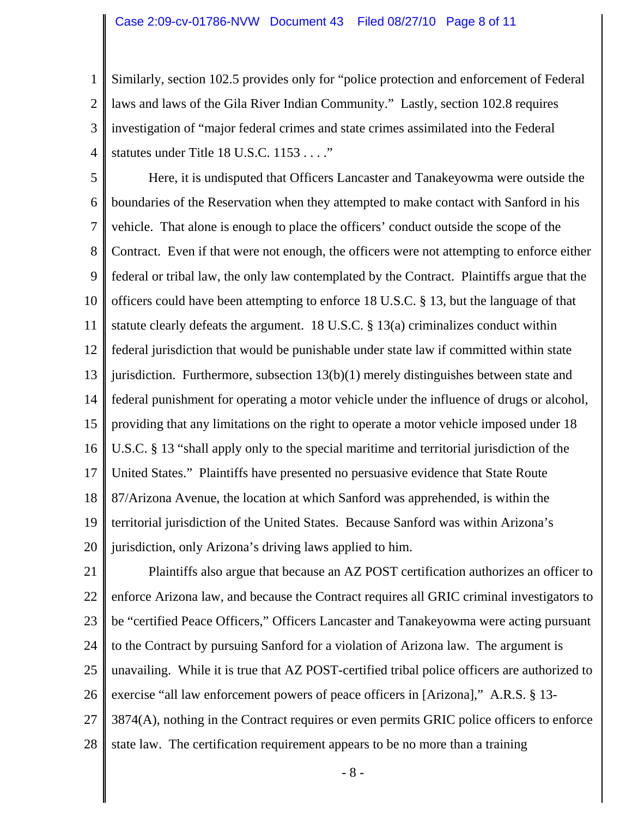1 2 3 4 Similarly, section 102.5 provides only for "police protection and enforcement of Federal laws and laws of the Gila River Indian Community." Lastly, section 102.8 requires investigation of "major federal crimes and state crimes assimilated into the Federal statutes under Title 18 U.S.C. 1153 . . . ."

5 6 7 8 9 10 11 12 13 14 15 16 17 18 19 20 Here, it is undisputed that Officers Lancaster and Tanakeyowma were outside the boundaries of the Reservation when they attempted to make contact with Sanford in his vehicle. That alone is enough to place the officers' conduct outside the scope of the Contract. Even if that were not enough, the officers were not attempting to enforce either federal or tribal law, the only law contemplated by the Contract. Plaintiffs argue that the officers could have been attempting to enforce 18 U.S.C. § 13, but the language of that statute clearly defeats the argument. 18 U.S.C. § 13(a) criminalizes conduct within federal jurisdiction that would be punishable under state law if committed within state jurisdiction. Furthermore, subsection  $13(b)(1)$  merely distinguishes between state and federal punishment for operating a motor vehicle under the influence of drugs or alcohol, providing that any limitations on the right to operate a motor vehicle imposed under 18 U.S.C. § 13 "shall apply only to the special maritime and territorial jurisdiction of the United States." Plaintiffs have presented no persuasive evidence that State Route 87/Arizona Avenue, the location at which Sanford was apprehended, is within the territorial jurisdiction of the United States. Because Sanford was within Arizona's jurisdiction, only Arizona's driving laws applied to him.

21 22 23 24 25 26 27 28 Plaintiffs also argue that because an AZ POST certification authorizes an officer to enforce Arizona law, and because the Contract requires all GRIC criminal investigators to be "certified Peace Officers," Officers Lancaster and Tanakeyowma were acting pursuant to the Contract by pursuing Sanford for a violation of Arizona law. The argument is unavailing. While it is true that AZ POST-certified tribal police officers are authorized to exercise "all law enforcement powers of peace officers in [Arizona]," A.R.S. § 13- 3874(A), nothing in the Contract requires or even permits GRIC police officers to enforce state law. The certification requirement appears to be no more than a training

- 8 -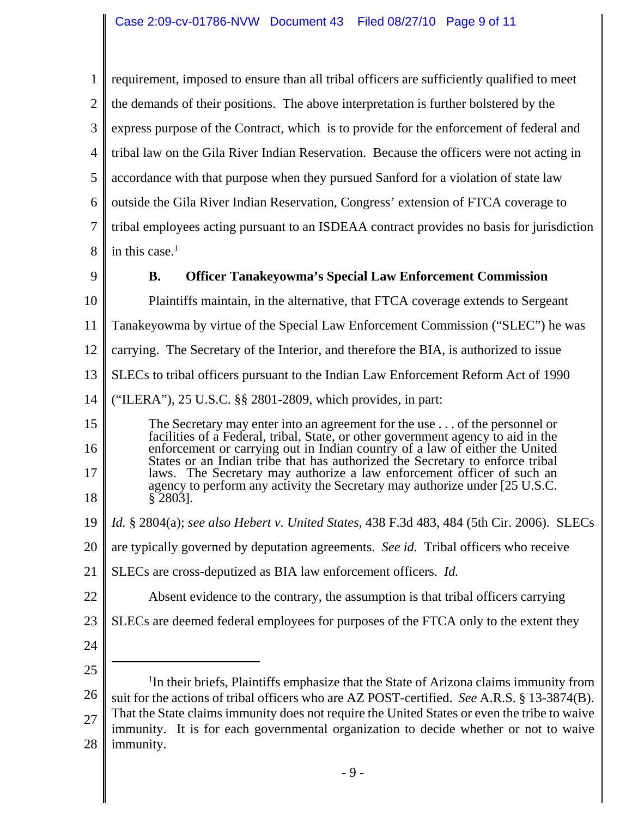1 2 3 4 5 6 7 8 requirement, imposed to ensure than all tribal officers are sufficiently qualified to meet the demands of their positions. The above interpretation is further bolstered by the express purpose of the Contract, which is to provide for the enforcement of federal and tribal law on the Gila River Indian Reservation. Because the officers were not acting in accordance with that purpose when they pursued Sanford for a violation of state law outside the Gila River Indian Reservation, Congress' extension of FTCA coverage to tribal employees acting pursuant to an ISDEAA contract provides no basis for jurisdiction in this case. $<sup>1</sup>$ </sup>

9

10

## **B. Officer Tanakeyowma's Special Law Enforcement Commission**

Plaintiffs maintain, in the alternative, that FTCA coverage extends to Sergeant

11 Tanakeyowma by virtue of the Special Law Enforcement Commission ("SLEC") he was

12 carrying. The Secretary of the Interior, and therefore the BIA, is authorized to issue

13 SLECs to tribal officers pursuant to the Indian Law Enforcement Reform Act of 1990

- 14 ("ILERA"), 25 U.S.C. §§ 2801-2809, which provides, in part:
- 15 16 17 18 The Secretary may enter into an agreement for the use . . . of the personnel or facilities of a Federal, tribal, State, or other government agency to aid in the enforcement or carrying out in Indian country of a law of either the United States or an Indian tribe that has authorized the Secretary to enforce tribal laws. The Secretary may authorize a law enforcement officer of such an agency to perform any activity the Secretary may authorize under [25 U.S.C. § 2803].
- 19 *Id.* § 2804(a); *see also Hebert v. United States*, 438 F.3d 483, 484 (5th Cir. 2006). SLECs
- 20 are typically governed by deputation agreements. *See id.* Tribal officers who receive
- 21 SLECs are cross-deputized as BIA law enforcement officers. *Id.*
- 22 Absent evidence to the contrary, the assumption is that tribal officers carrying
- 23 SLECs are deemed federal employees for purposes of the FTCA only to the extent they
- 24
- 25 26 27 28 <sup>1</sup>In their briefs, Plaintiffs emphasize that the State of Arizona claims immunity from suit for the actions of tribal officers who are AZ POST-certified. *See* A.R.S. § 13-3874(B). That the State claims immunity does not require the United States or even the tribe to waive immunity. It is for each governmental organization to decide whether or not to waive immunity.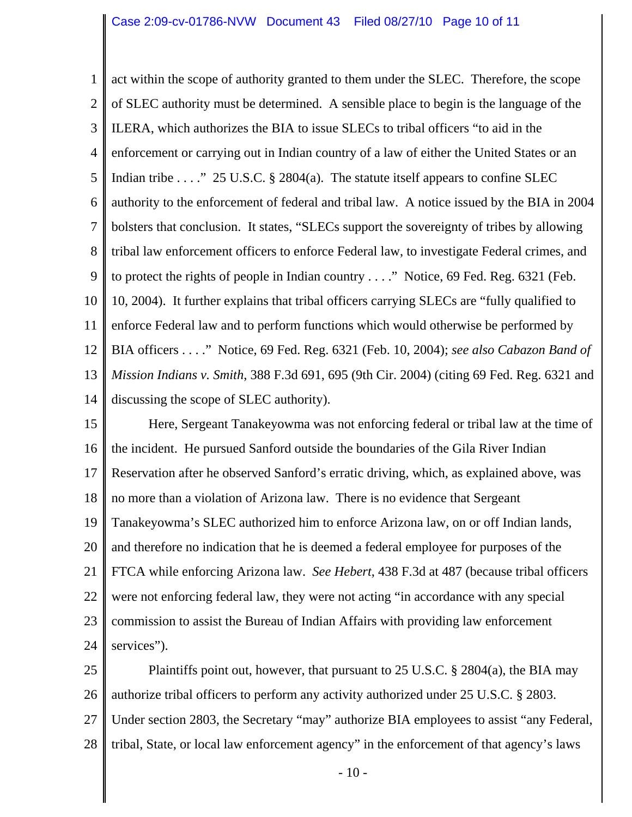1 2 3 4 5 6 7 8 9 10 11 12 13 14 act within the scope of authority granted to them under the SLEC. Therefore, the scope of SLEC authority must be determined. A sensible place to begin is the language of the ILERA, which authorizes the BIA to issue SLECs to tribal officers "to aid in the enforcement or carrying out in Indian country of a law of either the United States or an Indian tribe . . . . " 25 U.S.C. § 2804(a). The statute itself appears to confine SLEC authority to the enforcement of federal and tribal law. A notice issued by the BIA in 2004 bolsters that conclusion. It states, "SLECs support the sovereignty of tribes by allowing tribal law enforcement officers to enforce Federal law, to investigate Federal crimes, and to protect the rights of people in Indian country . . . ." Notice, 69 Fed. Reg. 6321 (Feb. 10, 2004). It further explains that tribal officers carrying SLECs are "fully qualified to enforce Federal law and to perform functions which would otherwise be performed by BIA officers . . . ." Notice, 69 Fed. Reg. 6321 (Feb. 10, 2004); *see also Cabazon Band of Mission Indians v. Smith*, 388 F.3d 691, 695 (9th Cir. 2004) (citing 69 Fed. Reg. 6321 and discussing the scope of SLEC authority).

15 16 17 18 19 20 21 22 23 24 Here, Sergeant Tanakeyowma was not enforcing federal or tribal law at the time of the incident. He pursued Sanford outside the boundaries of the Gila River Indian Reservation after he observed Sanford's erratic driving, which, as explained above, was no more than a violation of Arizona law. There is no evidence that Sergeant Tanakeyowma's SLEC authorized him to enforce Arizona law, on or off Indian lands, and therefore no indication that he is deemed a federal employee for purposes of the FTCA while enforcing Arizona law. *See Hebert*, 438 F.3d at 487 (because tribal officers were not enforcing federal law, they were not acting "in accordance with any special commission to assist the Bureau of Indian Affairs with providing law enforcement services").

25 26 27 28 Plaintiffs point out, however, that pursuant to 25 U.S.C. § 2804(a), the BIA may authorize tribal officers to perform any activity authorized under 25 U.S.C. § 2803. Under section 2803, the Secretary "may" authorize BIA employees to assist "any Federal, tribal, State, or local law enforcement agency" in the enforcement of that agency's laws

- 10 -